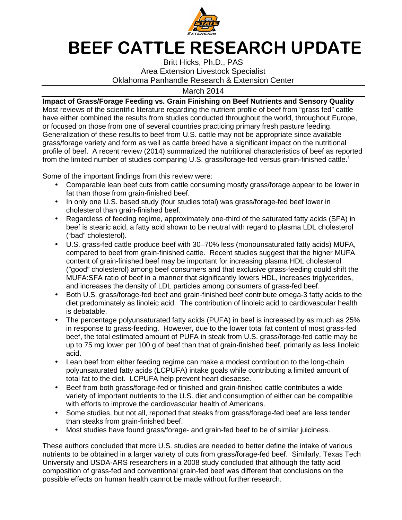

## **BEEF CATTLE RESEARCH UPDATE**

Britt Hicks, Ph.D., PAS Area Extension Livestock Specialist Oklahoma Panhandle Research & Extension Center

March 2014

**Impact of Grass/Forage Feeding vs. Grain Finishing on Beef Nutrients and Sensory Quality**  Most reviews of the scientific literature regarding the nutrient profile of beef from "grass fed" cattle have either combined the results from studies conducted throughout the world, throughout Europe, or focused on those from one of several countries practicing primary fresh pasture feeding. Generalization of these results to beef from U.S. cattle may not be appropriate since available grass/forage variety and form as well as cattle breed have a significant impact on the nutritional profile of beef. A recent review (2014) summarized the nutritional characteristics of beef as reported from the limited number of studies comparing U.S. grass/forage-fed versus grain-finished cattle.<sup>1</sup>

Some of the important findings from this review were:

- Comparable lean beef cuts from cattle consuming mostly grass/forage appear to be lower in fat than those from grain-finished beef.
- In only one U.S. based study (four studies total) was grass/forage-fed beef lower in cholesterol than grain-finished beef.
- Regardless of feeding regime, approximately one-third of the saturated fatty acids (SFA) in beef is stearic acid, a fatty acid shown to be neutral with regard to plasma LDL cholesterol ("bad" cholesterol).
- U.S. grass-fed cattle produce beef with 30–70% less (monounsaturated fatty acids) MUFA, compared to beef from grain-finished cattle. Recent studies suggest that the higher MUFA content of grain-finished beef may be important for increasing plasma HDL cholesterol ("good" cholesterol) among beef consumers and that exclusive grass-feeding could shift the MUFA:SFA ratio of beef in a manner that significantly lowers HDL, increases triglycerides, and increases the density of LDL particles among consumers of grass-fed beef.
- Both U.S. grass/forage-fed beef and grain-finished beef contribute omega-3 fatty acids to the diet predominately as linoleic acid. The contribution of linoleic acid to cardiovascular health is debatable.
- The percentage polyunsaturated fatty acids (PUFA) in beef is increased by as much as 25% in response to grass-feeding. However, due to the lower total fat content of most grass-fed beef, the total estimated amount of PUFA in steak from U.S. grass/forage-fed cattle may be up to 75 mg lower per 100 g of beef than that of grain-finished beef, primarily as less linoleic acid.
- Lean beef from either feeding regime can make a modest contribution to the long-chain polyunsaturated fatty acids (LCPUFA) intake goals while contributing a limited amount of total fat to the diet. LCPUFA help prevent heart diesaese.
- Beef from both grass/forage-fed or finished and grain-finished cattle contributes a wide variety of important nutrients to the U.S. diet and consumption of either can be compatible with efforts to improve the cardiovascular health of Americans.
- Some studies, but not all, reported that steaks from grass/forage-fed beef are less tender than steaks from grain-finished beef.
- Most studies have found grass/forage- and grain-fed beef to be of similar juiciness.

These authors concluded that more U.S. studies are needed to better define the intake of various nutrients to be obtained in a larger variety of cuts from grass/forage-fed beef. Similarly, Texas Tech University and USDA-ARS researchers in a 2008 study concluded that although the fatty acid composition of grass-fed and conventional grain-fed beef was different that conclusions on the possible effects on human health cannot be made without further research.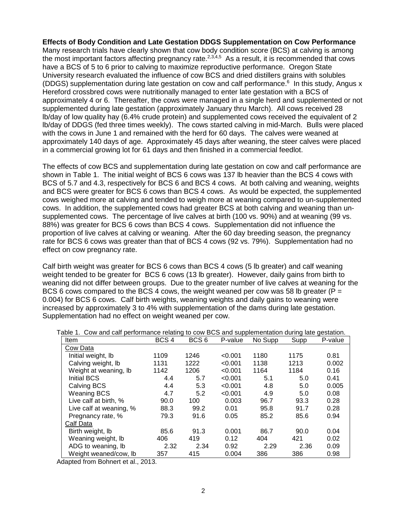**Effects of Body Condition and Late Gestation DDGS Supplementation on Cow Performance**  Many research trials have clearly shown that cow body condition score (BCS) at calving is among the most important factors affecting pregnancy rate. $2,3,4,5$  As a result, it is recommended that cows have a BCS of 5 to 6 prior to calving to maximize reproductive performance. Oregon State University research evaluated the influence of cow BCS and dried distillers grains with solubles (DDGS) supplementation during late gestation on cow and calf performance.<sup>6</sup> In this study, Angus x Hereford crossbred cows were nutritionally managed to enter late gestation with a BCS of approximately 4 or 6. Thereafter, the cows were managed in a single herd and supplemented or not supplemented during late gestation (approximately January thru March). All cows received 28 lb/day of low quality hay (6.4% crude protein) and supplemented cows received the equivalent of 2 lb/day of DDGS (fed three times weekly). The cows started calving in mid-March. Bulls were placed with the cows in June 1 and remained with the herd for 60 days. The calves were weaned at approximately 140 days of age. Approximately 45 days after weaning, the steer calves were placed in a commercial growing lot for 61 days and then finished in a commercial feedlot.

The effects of cow BCS and supplementation during late gestation on cow and calf performance are shown in Table 1. The initial weight of BCS 6 cows was 137 lb heavier than the BCS 4 cows with BCS of 5.7 and 4.3, respectively for BCS 6 and BCS 4 cows. At both calving and weaning, weights and BCS were greater for BCS 6 cows than BCS 4 cows. As would be expected, the supplemented cows weighed more at calving and tended to weigh more at weaning compared to un-supplemented cows. In addition, the supplemented cows had greater BCS at both calving and weaning than unsupplemented cows. The percentage of live calves at birth (100 vs. 90%) and at weaning (99 vs. 88%) was greater for BCS 6 cows than BCS 4 cows. Supplementation did not influence the proportion of live calves at calving or weaning. After the 60 day breeding season, the pregnancy rate for BCS 6 cows was greater than that of BCS 4 cows (92 vs. 79%). Supplementation had no effect on cow pregnancy rate.

Calf birth weight was greater for BCS 6 cows than BCS 4 cows (5 lb greater) and calf weaning weight tended to be greater for BCS 6 cows (13 lb greater). However, daily gains from birth to weaning did not differ between groups. Due to the greater number of live calves at weaning for the BCS 6 cows compared to the BCS 4 cows, the weight weaned per cow was 58 lb greater ( $P =$ 0.004) for BCS 6 cows. Calf birth weights, weaning weights and daily gains to weaning were increased by approximately 3 to 4% with supplementation of the dams during late gestation. Supplementation had no effect on weight weaned per cow.

| Item                    | BCS <sub>4</sub> | BCS <sub>6</sub> | P-value | No Supp | Supp | P-value |
|-------------------------|------------------|------------------|---------|---------|------|---------|
| Cow Data                |                  |                  |         |         |      |         |
| Initial weight, lb      | 1109             | 1246             | < 0.001 | 1180    | 1175 | 0.81    |
| Calving weight, Ib      | 1131             | 1222             | < 0.001 | 1138    | 1213 | 0.002   |
| Weight at weaning, lb   | 1142             | 1206             | < 0.001 | 1164    | 1184 | 0.16    |
| <b>Initial BCS</b>      | 4.4              | 5.7              | < 0.001 | 5.1     | 5.0  | 0.41    |
| Calving BCS             | 4.4              | 5.3              | < 0.001 | 4.8     | 5.0  | 0.005   |
| <b>Weaning BCS</b>      | 4.7              | 5.2              | < 0.001 | 4.9     | 5.0  | 0.08    |
| Live calf at birth, %   | 90.0             | 100              | 0.003   | 96.7    | 93.3 | 0.28    |
| Live calf at weaning, % | 88.3             | 99.2             | 0.01    | 95.8    | 91.7 | 0.28    |
| Pregnancy rate, %       | 79.3             | 91.6             | 0.05    | 85.2    | 85.6 | 0.94    |
| Calf Data               |                  |                  |         |         |      |         |
| Birth weight, lb        | 85.6             | 91.3             | 0.001   | 86.7    | 90.0 | 0.04    |
| Weaning weight, Ib      | 406              | 419              | 0.12    | 404     | 421  | 0.02    |
| ADG to weaning, lb      | 2.32             | 2.34             | 0.92    | 2.29    | 2.36 | 0.09    |
| Weight weaned/cow. Ib   | 357              | 415              | 0.004   | 386     | 386  | 0.98    |

Table 1. Cow and calf performance relating to cow BCS and supplementation during late gestation.

Adapted from Bohnert et al., 2013.